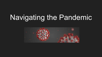## Navigating the Pandemic

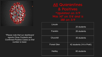

*\*Please note that our dashboard reports Close Contacts and Confirmed Positive Cases so that number is lower.*

**All Quarantines** & Positives

| Lincoln            | 25 students              |
|--------------------|--------------------------|
| Franklin           | 26 students              |
| Churchill          | 35 students              |
| <b>Forest Glen</b> | 42 students (14 in PreK) |
| <b>Hadley</b>      | 60 students              |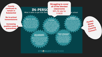**County continues to remain in Substantial**

**No in-school transmissions**

**Increasing positive cases & quarantines**

#### **IN-PERSC** What it takes to get kids back

#### **Struggling to cover all of the blended classrooms** 38% fill rate for 11/9/20

at school

#### **PARENT RESPONSIBILITIES**

Our families definitely play a crucial role in our ability to open and remain open for in-person instruction. It is absolutely crucial that families conduct the daily self certification, keep children home when they are sick/symptomatic. As a community, everyone must commit to bringing down and keeping down the community transmission rates both in and outside of the school day

#### **SAFETY PROTOCOLS AND EQUIPMENT**

In order to stay open D41 must be able to maintain our inventory of the required Personal Protective Equipment and sanitizing products recommended by public. health organizations

# **Parties, Sleep- Overs, Causing Concern**

#### **HEALTH DATA**

D41 will utilize the DCHD Framework and metrics to determine the model for in-person learning based upon the status of the local data (minimal, moderate and substantial risk)

#### **EXCLUSIONARY REQUIREMENTS**

Please familiarize yourself with the Exclusionary Requirements. They are extensive and will require parents to plan ahead for daycare in the event of unexpected and potentially lengthy quarantines

#### **STRONGERTOGETHER**

**STAFFING** 

Any in-person model

requires that we have

sufficient staff to maintain a

safe and high quality learning

environment. In order to sustain

any level of in-person learning

parents should anticipate

substitutes and possible

teacher assignment

shifts that become

necessary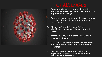

## **CHALLENGES**

- Too many students need remote due to quarantine so remote classes are maxing out (approx as of today)
- 2. Too few subs willing to work in person-unable to cover all staff absences (today we had a 38% fill rate)
- 3. The projections show that it will get significantly worse over the next several weeks
- 4. Informed today that a local Kindercare is closing for 5 days
- 5. As district's move back to remote, we were notified today of new FFCRA needs due to childcare
- 6. We are already using staff such as lunch supervisors to provide supervision due to teachers on quarantine.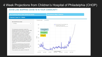### 4 Week Projections from Children's Hospital of Philadelphia (CHOP)

#### COVID-LAB: MAPPING COVID-19 IN YOUR COMMUNITY

٠

**Test Positivity Rate & Case Counts by County** 

#### Pennsylvania Maps & Metrics

#### **Projected Cases for 4 Weeks**

See projections by county:

IL.DuPage

The instantaneous reproduction number (R) is estimated using the daily incidence of new cases, while including effects of social distancing, population density, testing capacity, and combined temperature and humidity lagged over the prior 14 days. Each county's effects are standardized by population demographics. In prediction models, the future R is estimated from an autoregressive linear mixed effects model that includes county-level population density, 3day average of social distancing, and lagged non-linear averaged historical temperatures effects over the prior 14 days. Future cases are estimated from predicted values of R.

\*We measure social distancing as the percentage change in travel to non-essential businesses, as compared to normal activity before the pandemic. We calculate travel to non-essential businesses using cellphone GPS data from Unacast

These projections were updated on October 28.

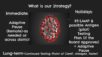## What is our Strategy?

Immediate:

Adaptive Pause (Remote)-as needed or across district Holidays:

RT-LAMP & possible Antigen (pilot) **Testing** Plan (if the Board approves) + Adaptive

Pause Long-term-Continued Testing (Point of Care?, cheaper, faster)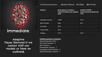

Immediate:

Adaptive Pause (Remote)-if we cannot staff our models or have an outbreak

| <b>School</b>       | <b>Quarantine or Positive</b><br><b>Cases/Certified and support</b><br>staff | <b>Unfilled COVID</b><br>absences/total absences<br>11/9 |
|---------------------|------------------------------------------------------------------------------|----------------------------------------------------------|
| Abraham Lincoln     | 10/56                                                                        | 2/15                                                     |
| <b>Ben Franklin</b> | 4/66                                                                         | 3/9                                                      |
| Churchill           | 3/75                                                                         | Е                                                        |
| <b>Forest Glen</b>  | 3/73                                                                         | Е                                                        |
| Hadley              | 7/111                                                                        | 3/15                                                     |

**51** Absences/Vacancies **26** Need Fulfillment **10** Fulfilled **38%** Fill Rate

#### **Unfilled positions in District:**

Special Education Aide - 1 5th Grade Teachers - 2 AEC Teacher - 1 Kindergarten Teacher - 1 Language Arts/SS Teacher - 2 Special Education Teacher - 1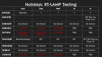## Holidays: RT-LAMP Testing

|                 | <b>Mon</b>                         | <b>Tues</b>                        | <b>Wed</b>      | <b>Th</b>      | Fr                          |
|-----------------|------------------------------------|------------------------------------|-----------------|----------------|-----------------------------|
| $11/9 - 11/13$  | <b>Blended</b>                     | $\overline{?}$                     | $\overline{?}$  | $\overline{?}$ | $\overline{?}$              |
| $11/16-11/20$   |                                    |                                    |                 |                | SIP Day (no<br>PreK or K)   |
| $11/23 - 11/27$ | No School                          | No School                          | No School       | No School      | No School                   |
| $11/30-12/4$    | <b>TESTING</b>                     | <b>TESTING</b>                     | <b>DECISION</b> | <b>TBD</b>     | <b>TBD</b>                  |
| $12/7 - 12/11$  | <b>IN SCHOOL</b><br><b>TESTING</b> | <b>IN SCHOOL</b><br><b>TESTING</b> | <b>DECISION</b> | <b>TBD</b>     | <b>TBD</b>                  |
| $12/14 - 12/18$ | <b>Blended/Testing</b>             | B/T                                | B/T             | B/T            | B/T SIP Day (no<br>PreK, K) |
| $12/21-12/25$   | No School                          | No School                          | No School       | No School      | No School                   |
| $12/28 - 1/1$   | No School                          | No School                          | No School       | No School      | No School                   |
| $1/4/2$ l-1/8   | <b>TESTING</b>                     | <b>TESTING</b>                     | <b>DECISION</b> | <b>TBD</b>     | <b>TBD</b>                  |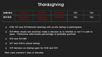## Thanksgiving

| 11/30-12/4 | <b>TESTING</b>              | <b>TESTING</b>                    | <b>DECISION</b> | TBD        | TBD |
|------------|-----------------------------|-----------------------------------|-----------------|------------|-----|
| 12/7-12/11 | IN SCHOOL<br><b>TESTING</b> | <b>N SCHOOL</b><br><b>TESTING</b> | <b>DECISION</b> | <b>TBD</b> | TBD |

- ❏ 11/30, 12/1 and 12/2-Remote Learning with on-site testing of participants
- ❏ 12/2-When results are received, make a decision as to whether or not it is safe to open. \*Determine safe/unsafe percentage of probably positives
- ❏ 12/3 and 12/4-TBD
- ❏ 12/7 and 12/8-in school testing
- ❏ 12/9 decision on staying open for 12/10 and 12/11

\*Best case scenario-7 days of blended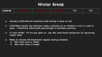## Winter Break

| $1/4/2$ -1/8 | - 1 |  | ULVI | <b>TBD</b> | TBD |
|--------------|-----|--|------|------------|-----|
|--------------|-----|--|------|------------|-----|

- ❏ January 4,5,6th-Remote Learning while testing is done on site
- ❏ 1/6/21-When results are received, make a decision as to whether or not it is safe to open. \*Determine safe/unsafe percentage of probably positives
- ❏ 1/7 and 1/8-TBD (\*if we are open on Jan. 8th, send home testing kits for upcoming week's tests)
- ❏ Week of January 11th-Implement regular testing schedule
	- ❏ Who tests once a week?
	- ❏ Who tests twice a week?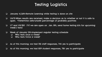## Testing Logistics

- ❏ January 4,5,6th-Remote Learning while testing is done on site
- ❏ 1/6/21-When results are received, make a decision as to whether or not it is safe to open. \*Determine safe/unsafe percentage of probably positives
- ❏ 1/7 and 1/8-TBD (\*if we are open on Jan. 8th, send home testing kits for upcoming week's tests)
- ❏ Week of January 11th-Implement regular testing schedule
	- ❏ Who tests once a week?
	- ❏ Who tests twice a week?
- ❏ As of this morning, we had 210 staff responses, 74% yes to participate
- ❏ As of this morning, we had 859 student responses, 78% yes to participate